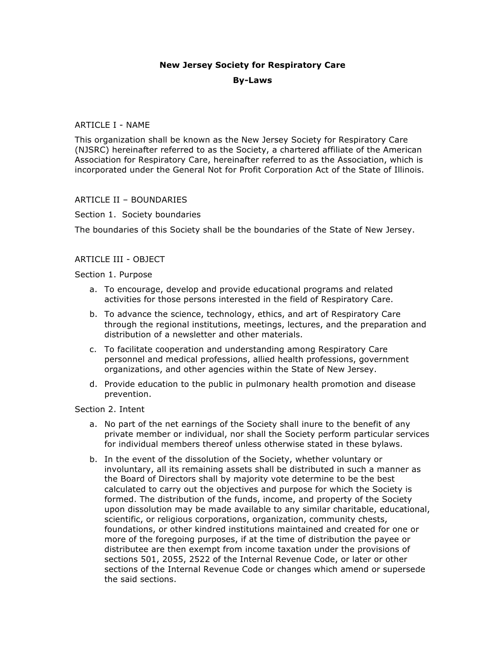# **New Jersey Society for Respiratory Care By-Laws**

# ARTICLE I - NAME

This organization shall be known as the New Jersey Society for Respiratory Care (NJSRC) hereinafter referred to as the Society, a chartered affiliate of the American Association for Respiratory Care, hereinafter referred to as the Association, which is incorporated under the General Not for Profit Corporation Act of the State of Illinois.

# ARTICLE II – BOUNDARIES

# Section 1. Society boundaries

The boundaries of this Society shall be the boundaries of the State of New Jersey.

# ARTICLE III - OBJECT

### Section 1. Purpose

- a. To encourage, develop and provide educational programs and related activities for those persons interested in the field of Respiratory Care.
- b. To advance the science, technology, ethics, and art of Respiratory Care through the regional institutions, meetings, lectures, and the preparation and distribution of a newsletter and other materials.
- c. To facilitate cooperation and understanding among Respiratory Care personnel and medical professions, allied health professions, government organizations, and other agencies within the State of New Jersey.
- d. Provide education to the public in pulmonary health promotion and disease prevention.

#### Section 2. Intent

- a. No part of the net earnings of the Society shall inure to the benefit of any private member or individual, nor shall the Society perform particular services for individual members thereof unless otherwise stated in these bylaws.
- b. In the event of the dissolution of the Society, whether voluntary or involuntary, all its remaining assets shall be distributed in such a manner as the Board of Directors shall by majority vote determine to be the best calculated to carry out the objectives and purpose for which the Society is formed. The distribution of the funds, income, and property of the Society upon dissolution may be made available to any similar charitable, educational, scientific, or religious corporations, organization, community chests, foundations, or other kindred institutions maintained and created for one or more of the foregoing purposes, if at the time of distribution the payee or distributee are then exempt from income taxation under the provisions of sections 501, 2055, 2522 of the Internal Revenue Code, or later or other sections of the Internal Revenue Code or changes which amend or supersede the said sections.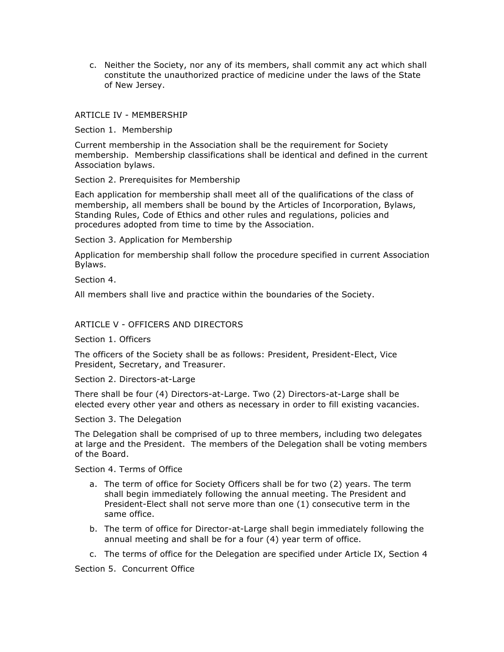c. Neither the Society, nor any of its members, shall commit any act which shall constitute the unauthorized practice of medicine under the laws of the State of New Jersey.

### ARTICLE IV - MEMBERSHIP

Section 1. Membership

Current membership in the Association shall be the requirement for Society membership. Membership classifications shall be identical and defined in the current Association bylaws.

Section 2. Prerequisites for Membership

Each application for membership shall meet all of the qualifications of the class of membership, all members shall be bound by the Articles of Incorporation, Bylaws, Standing Rules, Code of Ethics and other rules and regulations, policies and procedures adopted from time to time by the Association.

Section 3. Application for Membership

Application for membership shall follow the procedure specified in current Association Bylaws.

Section 4.

All members shall live and practice within the boundaries of the Society.

### ARTICLE V - OFFICERS AND DIRECTORS

Section 1. Officers

The officers of the Society shall be as follows: President, President-Elect, Vice President, Secretary, and Treasurer.

Section 2. Directors-at-Large

There shall be four (4) Directors-at-Large. Two (2) Directors-at-Large shall be elected every other year and others as necessary in order to fill existing vacancies.

Section 3. The Delegation

The Delegation shall be comprised of up to three members, including two delegates at large and the President. The members of the Delegation shall be voting members of the Board.

Section 4. Terms of Office

- a. The term of office for Society Officers shall be for two (2) years. The term shall begin immediately following the annual meeting. The President and President-Elect shall not serve more than one (1) consecutive term in the same office.
- b. The term of office for Director-at-Large shall begin immediately following the annual meeting and shall be for a four (4) year term of office.
- c. The terms of office for the Delegation are specified under Article IX, Section 4

Section 5. Concurrent Office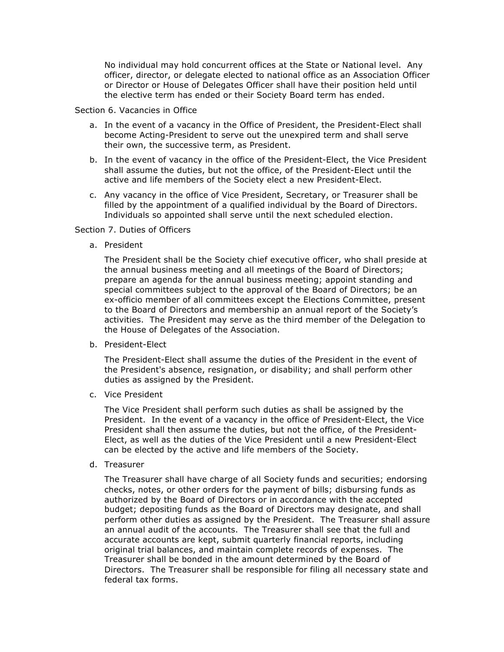No individual may hold concurrent offices at the State or National level. Any officer, director, or delegate elected to national office as an Association Officer or Director or House of Delegates Officer shall have their position held until the elective term has ended or their Society Board term has ended.

#### Section 6. Vacancies in Office

- a. In the event of a vacancy in the Office of President, the President-Elect shall become Acting-President to serve out the unexpired term and shall serve their own, the successive term, as President.
- b. In the event of vacancy in the office of the President-Elect, the Vice President shall assume the duties, but not the office, of the President-Elect until the active and life members of the Society elect a new President-Elect.
- c. Any vacancy in the office of Vice President, Secretary, or Treasurer shall be filled by the appointment of a qualified individual by the Board of Directors. Individuals so appointed shall serve until the next scheduled election.

#### Section 7. Duties of Officers

a. President

The President shall be the Society chief executive officer, who shall preside at the annual business meeting and all meetings of the Board of Directors; prepare an agenda for the annual business meeting; appoint standing and special committees subject to the approval of the Board of Directors; be an ex-officio member of all committees except the Elections Committee, present to the Board of Directors and membership an annual report of the Society's activities. The President may serve as the third member of the Delegation to the House of Delegates of the Association.

b. President-Elect

The President-Elect shall assume the duties of the President in the event of the President's absence, resignation, or disability; and shall perform other duties as assigned by the President.

c. Vice President

The Vice President shall perform such duties as shall be assigned by the President. In the event of a vacancy in the office of President-Elect, the Vice President shall then assume the duties, but not the office, of the President-Elect, as well as the duties of the Vice President until a new President-Elect can be elected by the active and life members of the Society.

d. Treasurer

The Treasurer shall have charge of all Society funds and securities; endorsing checks, notes, or other orders for the payment of bills; disbursing funds as authorized by the Board of Directors or in accordance with the accepted budget; depositing funds as the Board of Directors may designate, and shall perform other duties as assigned by the President. The Treasurer shall assure an annual audit of the accounts. The Treasurer shall see that the full and accurate accounts are kept, submit quarterly financial reports, including original trial balances, and maintain complete records of expenses. The Treasurer shall be bonded in the amount determined by the Board of Directors. The Treasurer shall be responsible for filing all necessary state and federal tax forms.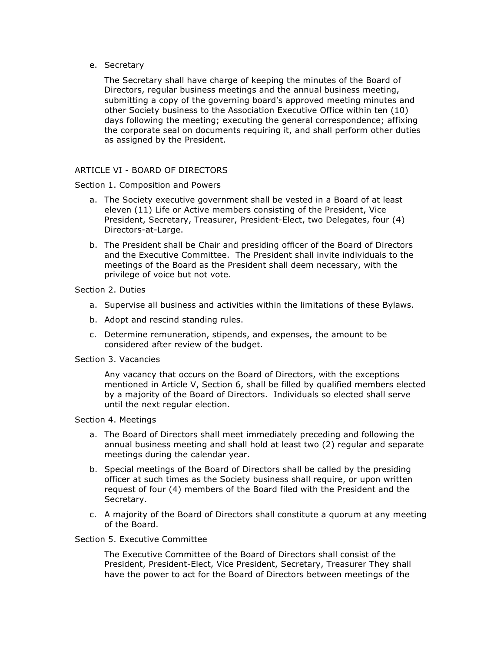e. Secretary

The Secretary shall have charge of keeping the minutes of the Board of Directors, regular business meetings and the annual business meeting, submitting a copy of the governing board's approved meeting minutes and other Society business to the Association Executive Office within ten (10) days following the meeting; executing the general correspondence; affixing the corporate seal on documents requiring it, and shall perform other duties as assigned by the President.

### ARTICLE VI - BOARD OF DIRECTORS

#### Section 1. Composition and Powers

- a. The Society executive government shall be vested in a Board of at least eleven (11) Life or Active members consisting of the President, Vice President, Secretary, Treasurer, President-Elect, two Delegates, four (4) Directors-at-Large.
- b. The President shall be Chair and presiding officer of the Board of Directors and the Executive Committee. The President shall invite individuals to the meetings of the Board as the President shall deem necessary, with the privilege of voice but not vote.

### Section 2. Duties

- a. Supervise all business and activities within the limitations of these Bylaws.
- b. Adopt and rescind standing rules.
- c. Determine remuneration, stipends, and expenses, the amount to be considered after review of the budget.

#### Section 3. Vacancies

Any vacancy that occurs on the Board of Directors, with the exceptions mentioned in Article V, Section 6, shall be filled by qualified members elected by a majority of the Board of Directors. Individuals so elected shall serve until the next regular election.

#### Section 4. Meetings

- a. The Board of Directors shall meet immediately preceding and following the annual business meeting and shall hold at least two (2) regular and separate meetings during the calendar year.
- b. Special meetings of the Board of Directors shall be called by the presiding officer at such times as the Society business shall require, or upon written request of four (4) members of the Board filed with the President and the Secretary.
- c. A majority of the Board of Directors shall constitute a quorum at any meeting of the Board.

### Section 5. Executive Committee

The Executive Committee of the Board of Directors shall consist of the President, President-Elect, Vice President, Secretary, Treasurer They shall have the power to act for the Board of Directors between meetings of the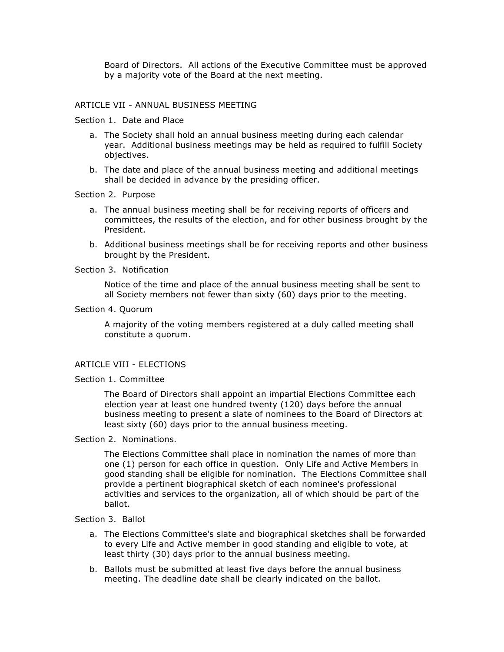Board of Directors. All actions of the Executive Committee must be approved by a majority vote of the Board at the next meeting.

#### ARTICLE VII - ANNUAL BUSINESS MEETING

#### Section 1. Date and Place

- a. The Society shall hold an annual business meeting during each calendar year. Additional business meetings may be held as required to fulfill Society objectives.
- b. The date and place of the annual business meeting and additional meetings shall be decided in advance by the presiding officer.

#### Section 2. Purpose

- a. The annual business meeting shall be for receiving reports of officers and committees, the results of the election, and for other business brought by the President.
- b. Additional business meetings shall be for receiving reports and other business brought by the President.

#### Section 3. Notification

Notice of the time and place of the annual business meeting shall be sent to all Society members not fewer than sixty (60) days prior to the meeting.

#### Section 4. Quorum

A majority of the voting members registered at a duly called meeting shall constitute a quorum.

# ARTICLE VIII - ELECTIONS

#### Section 1. Committee

The Board of Directors shall appoint an impartial Elections Committee each election year at least one hundred twenty (120) days before the annual business meeting to present a slate of nominees to the Board of Directors at least sixty (60) days prior to the annual business meeting.

#### Section 2. Nominations.

The Elections Committee shall place in nomination the names of more than one (1) person for each office in question. Only Life and Active Members in good standing shall be eligible for nomination. The Elections Committee shall provide a pertinent biographical sketch of each nominee's professional activities and services to the organization, all of which should be part of the ballot.

#### Section 3. Ballot

- a. The Elections Committee's slate and biographical sketches shall be forwarded to every Life and Active member in good standing and eligible to vote, at least thirty (30) days prior to the annual business meeting.
- b. Ballots must be submitted at least five days before the annual business meeting. The deadline date shall be clearly indicated on the ballot.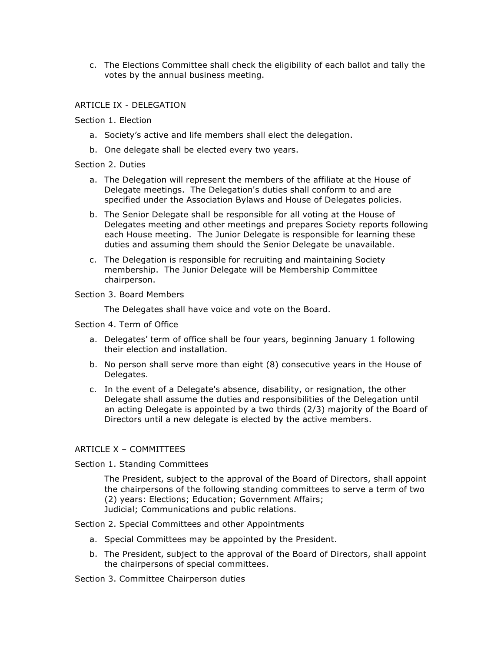c. The Elections Committee shall check the eligibility of each ballot and tally the votes by the annual business meeting.

# ARTICLE IX - DELEGATION

### Section 1. Election

- a. Society's active and life members shall elect the delegation.
- b. One delegate shall be elected every two years.

### Section 2. Duties

- a. The Delegation will represent the members of the affiliate at the House of Delegate meetings. The Delegation's duties shall conform to and are specified under the Association Bylaws and House of Delegates policies.
- b. The Senior Delegate shall be responsible for all voting at the House of Delegates meeting and other meetings and prepares Society reports following each House meeting. The Junior Delegate is responsible for learning these duties and assuming them should the Senior Delegate be unavailable.
- c. The Delegation is responsible for recruiting and maintaining Society membership. The Junior Delegate will be Membership Committee chairperson.

### Section 3. Board Members

The Delegates shall have voice and vote on the Board.

#### Section 4. Term of Office

- a. Delegates' term of office shall be four years, beginning January 1 following their election and installation.
- b. No person shall serve more than eight (8) consecutive years in the House of Delegates.
- c. In the event of a Delegate's absence, disability, or resignation, the other Delegate shall assume the duties and responsibilities of the Delegation until an acting Delegate is appointed by a two thirds (2/3) majority of the Board of Directors until a new delegate is elected by the active members.

# ARTICLE X – COMMITTEES

# Section 1. Standing Committees

The President, subject to the approval of the Board of Directors, shall appoint the chairpersons of the following standing committees to serve a term of two (2) years: Elections; Education; Government Affairs; Judicial; Communications and public relations.

Section 2. Special Committees and other Appointments

- a. Special Committees may be appointed by the President.
- b. The President, subject to the approval of the Board of Directors, shall appoint the chairpersons of special committees.

Section 3. Committee Chairperson duties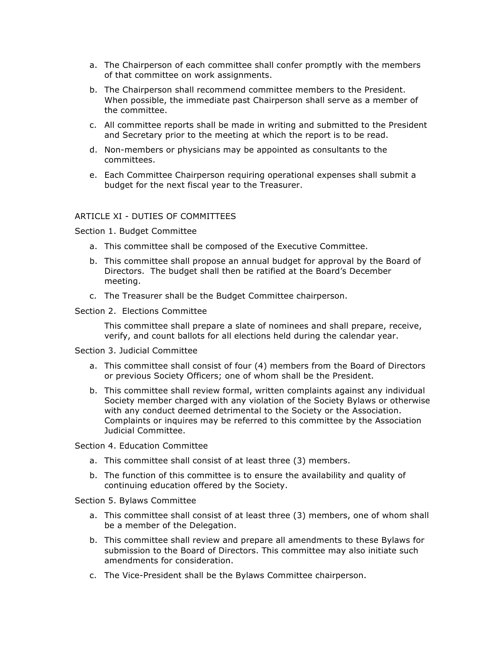- a. The Chairperson of each committee shall confer promptly with the members of that committee on work assignments.
- b. The Chairperson shall recommend committee members to the President. When possible, the immediate past Chairperson shall serve as a member of the committee.
- c. All committee reports shall be made in writing and submitted to the President and Secretary prior to the meeting at which the report is to be read.
- d. Non-members or physicians may be appointed as consultants to the committees.
- e. Each Committee Chairperson requiring operational expenses shall submit a budget for the next fiscal year to the Treasurer.

#### ARTICLE XI - DUTIES OF COMMITTEES

Section 1. Budget Committee

- a. This committee shall be composed of the Executive Committee.
- b. This committee shall propose an annual budget for approval by the Board of Directors. The budget shall then be ratified at the Board's December meeting.
- c. The Treasurer shall be the Budget Committee chairperson.

Section 2. Elections Committee

This committee shall prepare a slate of nominees and shall prepare, receive, verify, and count ballots for all elections held during the calendar year.

#### Section 3. Judicial Committee

- a. This committee shall consist of four (4) members from the Board of Directors or previous Society Officers; one of whom shall be the President.
- b. This committee shall review formal, written complaints against any individual Society member charged with any violation of the Society Bylaws or otherwise with any conduct deemed detrimental to the Society or the Association. Complaints or inquires may be referred to this committee by the Association Judicial Committee.

#### Section 4. Education Committee

- a. This committee shall consist of at least three (3) members.
- b. The function of this committee is to ensure the availability and quality of continuing education offered by the Society.

#### Section 5. Bylaws Committee

- a. This committee shall consist of at least three (3) members, one of whom shall be a member of the Delegation.
- b. This committee shall review and prepare all amendments to these Bylaws for submission to the Board of Directors. This committee may also initiate such amendments for consideration.
- c. The Vice-President shall be the Bylaws Committee chairperson.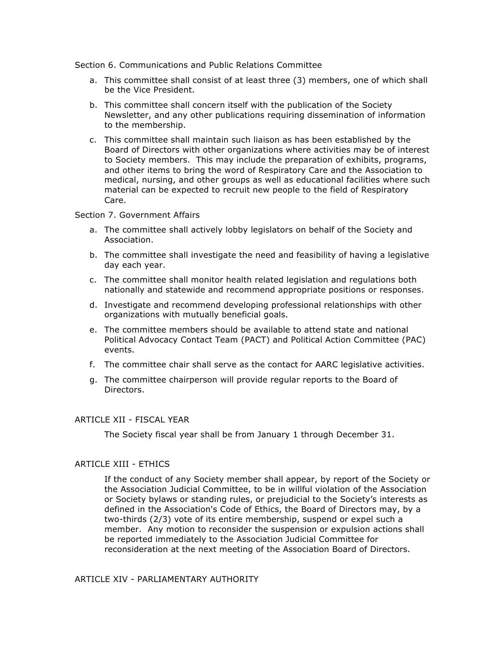Section 6. Communications and Public Relations Committee

- a. This committee shall consist of at least three (3) members, one of which shall be the Vice President.
- b. This committee shall concern itself with the publication of the Society Newsletter, and any other publications requiring dissemination of information to the membership.
- c. This committee shall maintain such liaison as has been established by the Board of Directors with other organizations where activities may be of interest to Society members. This may include the preparation of exhibits, programs, and other items to bring the word of Respiratory Care and the Association to medical, nursing, and other groups as well as educational facilities where such material can be expected to recruit new people to the field of Respiratory Care.

#### Section 7. Government Affairs

- a. The committee shall actively lobby legislators on behalf of the Society and Association.
- b. The committee shall investigate the need and feasibility of having a legislative day each year.
- c. The committee shall monitor health related legislation and regulations both nationally and statewide and recommend appropriate positions or responses.
- d. Investigate and recommend developing professional relationships with other organizations with mutually beneficial goals.
- e. The committee members should be available to attend state and national Political Advocacy Contact Team (PACT) and Political Action Committee (PAC) events.
- f. The committee chair shall serve as the contact for AARC legislative activities.
- g. The committee chairperson will provide regular reports to the Board of Directors.

# ARTICLE XII - FISCAL YEAR

The Society fiscal year shall be from January 1 through December 31.

# ARTICLE XIII - ETHICS

If the conduct of any Society member shall appear, by report of the Society or the Association Judicial Committee, to be in willful violation of the Association or Society bylaws or standing rules, or prejudicial to the Society's interests as defined in the Association's Code of Ethics, the Board of Directors may, by a two-thirds (2/3) vote of its entire membership, suspend or expel such a member. Any motion to reconsider the suspension or expulsion actions shall be reported immediately to the Association Judicial Committee for reconsideration at the next meeting of the Association Board of Directors.

ARTICLE XIV - PARLIAMENTARY AUTHORITY